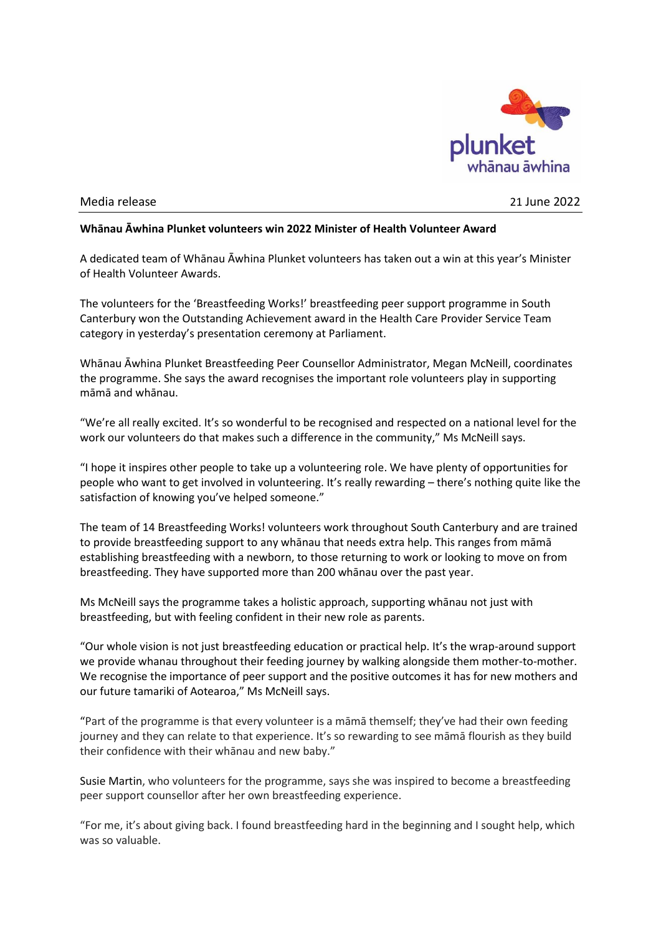

## Media release 21 June 2022

## **Whānau Āwhina Plunket volunteers win 2022 Minister of Health Volunteer Award**

A dedicated team of Whānau Āwhina Plunket volunteers has taken out a win at this year's Minister of Health Volunteer Awards.

The volunteers for the 'Breastfeeding Works!' breastfeeding peer support programme in South Canterbury won the Outstanding Achievement award in the Health Care Provider Service Team category in yesterday's presentation ceremony at Parliament.

Whānau Āwhina Plunket Breastfeeding Peer Counsellor Administrator, Megan McNeill, coordinates the programme. She says the award recognises the important role volunteers play in supporting māmā and whānau.

"We're all really excited. It's so wonderful to be recognised and respected on a national level for the work our volunteers do that makes such a difference in the community," Ms McNeill says.

"I hope it inspires other people to take up a volunteering role. We have plenty of opportunities for people who want to get involved in volunteering. It's really rewarding – there's nothing quite like the satisfaction of knowing you've helped someone."

The team of 14 Breastfeeding Works! volunteers work throughout South Canterbury and are trained to provide breastfeeding support to any whānau that needs extra help. This ranges from māmā establishing breastfeeding with a newborn, to those returning to work or looking to move on from breastfeeding. They have supported more than 200 whānau over the past year.

Ms McNeill says the programme takes a holistic approach, supporting whānau not just with breastfeeding, but with feeling confident in their new role as parents.

"Our whole vision is not just breastfeeding education or practical help. It's the wrap-around support we provide whanau throughout their feeding journey by walking alongside them mother-to-mother. We recognise the importance of peer support and the positive outcomes it has for new mothers and our future tamariki of Aotearoa," Ms McNeill says.

"Part of the programme is that every volunteer is a māmā themself; they've had their own feeding journey and they can relate to that experience. It's so rewarding to see māmā flourish as they build their confidence with their whānau and new baby."

Susie Martin, who volunteers for the programme, says she was inspired to become a breastfeeding peer support counsellor after her own breastfeeding experience.

"For me, it's about giving back. I found breastfeeding hard in the beginning and I sought help, which was so valuable.